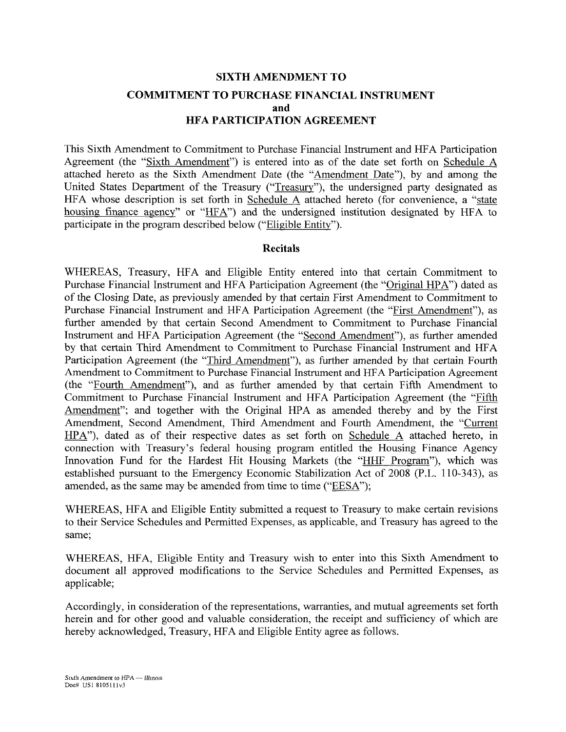# **SIXTH AMENDMENT TO COMMITMENT TO PURCHASE FINANCIAL INSTRUMENT and HFA PARTICIPATION AGREEMENT**

This Sixth Amendment to Commitment to Purchase Financial Instrument and HFA Participation Agreement (the "Sixth Amendment") is entered into as of the date set forth on Schedule A attached hereto as the Sixth Amendment Date (the "Amendment Date"), by and among the United States Department of the Treasury ("Treasury"), the undersigned party designated as HFA whose description is set forth in Schedule A attached hereto (for convenience, a "state housing finance agency" or "HFA") and the undersigned institution designated by HFA to participate in the program described below ("Eligible Entity").

#### **Recitals**

WHEREAS, Treasury, HFA and Eligible Entity entered into that certain Commitment to Purchase Financial Instrument and HFA Participation Agreement (the "Original HPA") dated as of the Closing Date, as previously amended by that certain First Amendment to Commitment to Purchase Financial Instrument and HFA Participation Agreement (the "First Amendment"), as further amended by that certain Second Amendment to Commitment to Purchase Financial Instrument and HFA Participation Agreement (the "Second Amendment"), as further amended by that certain Third Amendment to Commitment to Purchase Financial Instrument and HFA Participation Agreement (the "Third Amendment"), as further amended by that certain Fourth Amendment to Commitment to Purchase Financial Instrument and HFA Participation Agreement (the "Fourth Amendment"), and as further amended by that certain Fifth Amendment to Commitment to Purchase Financial Instrument and HFA Participation Agreement (the "Fifth Amendment"; and together with the Original HPA as amended thereby and by the First Amendment, Second Amendment, Third Amendment and Fourth Amendment, the "Current HPA"), dated as of their respective dates as set forth on Schedule A attached hereto, in connection with Treasury's federal housing program entitled the Housing Finance Agency Innovation Fund for the Hardest Hit Housing Markets (the "HHF Program"), which was established pursuant to the Emergency Economic Stabilization Act of 2008 (P.L. 110-343), as amended, as the same may be amended from time to time ("EESA");

WHEREAS, HFA and Eligible Entity submitted a request to Treasury to make certain revisions to their Service Schedules and Permitted Expenses, as applicable, and Treasury has agreed to the same;

WHEREAS, HFA, Eligible Entity and Treasury wish to enter into this Sixth Amendment to document all approved modifications to the Service Schedules and Permitted Expenses, as applicable;

Accordingly, in consideration of the representations, warranties, and mutual agreements set forth herein and for other good and valuable consideration, the receipt and sufficiency of which are hereby acknowledged, Treasury, HFA and Eligible Entity agree as follows.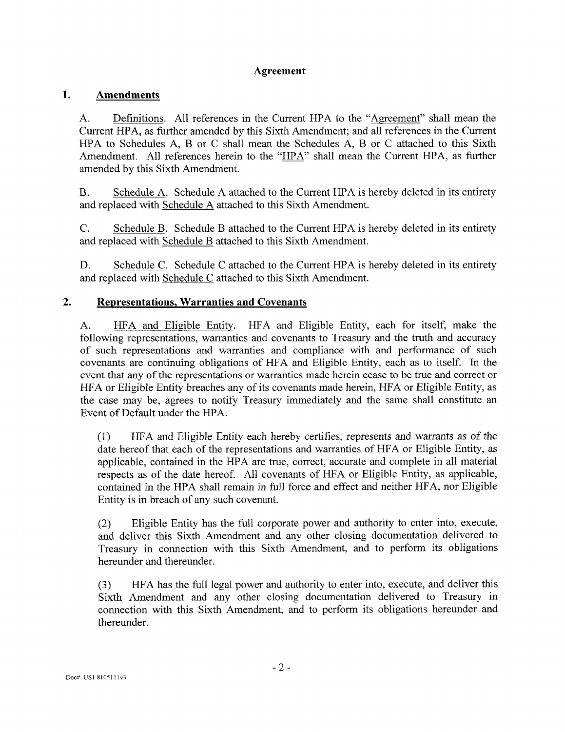#### **Agreement**

#### **1. Amendments**

A. Definitions. All references in the Current HPA to the "Agreement" shall mean the Current HPA, as further amended by this Sixth Amendment; and all references in the Current HPA to Schedules A, B or C shall mean the Schedules A, B or C attached to this Sixth Amendment. All references herein to the "HPA" shall mean the Current HPA, as further amended by this Sixth Amendment.

B. Schedule A. Schedule A attached to the Current HPA is hereby deleted in its entirety and replaced with Schedule A attached to this Sixth Amendment.

C. Schedule B. Schedule B attached to the Current HPA is hereby deleted in its entirety and replaced with Schedule B attached to this Sixth Amendment.

D. Schedule C. Schedule C attached to the Current HPA is hereby deleted in its entirety and replaced with Schedule C attached to this Sixth Amendment.

#### **2. Representations, Warranties and Covenants**

A. HFA and Eligible Entity. HFA and Eligible Entity, each for itself, make the following representations, warranties and covenants to Treasury and the truth and accuracy of such representations and warranties and compliance with and performance of such covenants are continuing obligations of HFA and Eligible Entity, each as to itself. In the event that any of the representations or warranties made herein cease to be true and correct or HFA or Eligible Entity breaches any of its covenants made herein, HFA or Eligible Entity, as the case may be, agrees to notify Treasury immediately and the same shall constitute an Event of Default under the HPA.

(1) HFA and Eligible Entity each hereby certifies, represents and warrants as of the date hereof that each of the representations and warranties of HFA or Eligible Entity, as applicable, contained in the HPA are true, correct, accurate and complete in all material respects as of the date hereof. All covenants of HFA or Eligible Entity, as applicable, contained in the HPA shall remain in full force and effect and neither HFA, nor Eligible Entity is in breach of any such covenant.

(2) Eligible Entity has the full corporate power and authority to enter into, execute, and deliver this Sixth Amendment and any other closing documentation delivered to Treasury in connection with this Sixth Amendment, and to perform its obligations hereunder and thereunder.

(3) HFA has the full legal power and authority to enter into, execute, and deliver this Sixth Amendment and any other closing documentation delivered to Treasury in connection with this Sixth Amendment, and to perform its obligations hereunder and thereunder.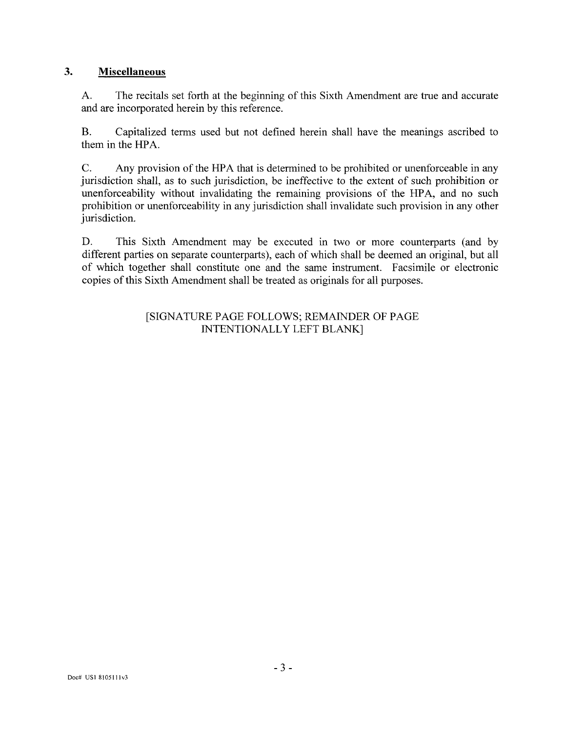#### $\overline{3}$ . **Miscellaneous**

A. The recitals set forth at the beginning of this Sixth Amendment are true and accurate and are incorporated herein by this reference.

B. Capitalized terms used but not defined herein shall have the meanings ascribed to them in the HPA.

C. Any provision of the HPA that is determined to be prohibited or unenforceable in any jurisdiction shall, as to such jurisdiction, be ineffective to the extent of such prohibition or unenforceability without invalidating the remaining provisions of the HPA, and no such prohibition or unenforceability in any jurisdiction shall invalidate such provision in any other jurisdiction.

D. This Sixth Amendment may be executed in two or more counterparts (and by different parties on separate counterparts), each of which shall be deemed an original, but all of which together shall constitute one and the same instrument. Facsimile or electronic copies of this Sixth Amendment shall be treated as originals for all purposes.

#### [SIGNATURE PAGE FOLLOWS; REMAINDER OF PAGE INTENTIONALLY LEFT BLANK]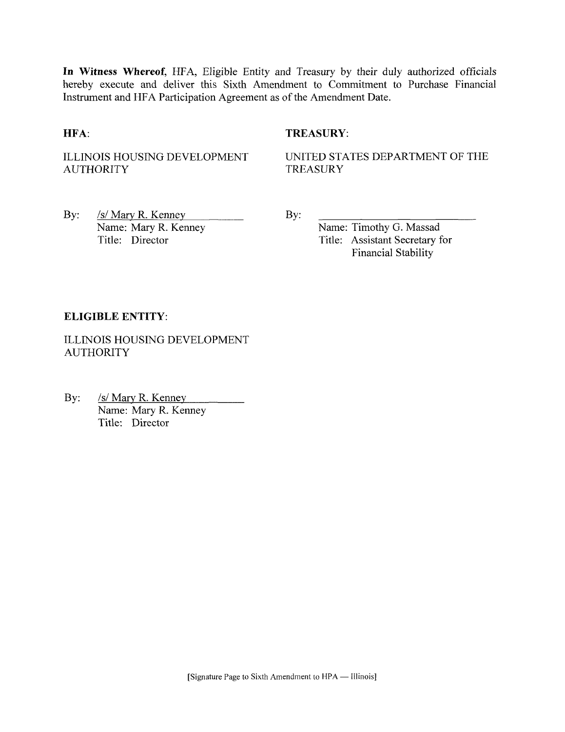**In Witness Whereof,** HFA, Eligible Entity and Treasury by their duly authorized officials hereby execute and deliver this Sixth Amendment to Commitment to Purchase Financial Instrument and HFA Participation Agreement as of the Amendment Date.

#### **HFA:** TREASURY:

AUTHORITY TREASURY

ILLINOIS HOUSING DEVELOPMENT UNITED STATES DEPARTMENT OF THE

By: <u>/s/ Mary R. Kenney</u> By: Name: Mary R. Kenney By: Name: Mary R. Kenney<br>
Title: Director<br>
Title: Assistant Secretary f

Title: Assistant Secretary for Financial Stability

#### **ELIGIBLE ENTITY:**

ILLINOIS HOUSING DEVELOPMENT AUTHORITY

By: /s/ Mary R. Kenney Name: Mary R. Kenney Title: Director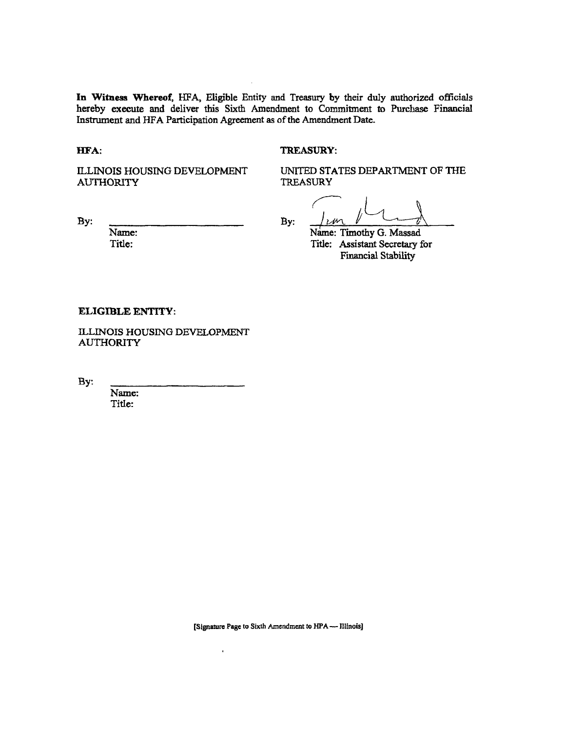**In Witness Whereof,** HFA, Eligible Entity and Treasury by their duly authorized officials hereby execute and deliver this Sixth Amendment to Commitment to Purchase Financial Instrument and HFA Participation Agreement as of the Amendment Date.

**HFA:** TREASURY:

AUTHORITY

ILLINOIS HOUSING DEVELOPMENT UNITED STATES DEPARTMENT OF THE AUTHORITY

By:  $\frac{1}{\sqrt{2}}$ 

Name: Name: Name: Timothy G. Massad<br>Title: 1992 - Title: Assistant Secretary f Title: Assistant Secretary for Financial Stability

#### **ELIGIBLE ENTITY:**

ILLINOIS HOUSING DEVELOPMENT AUTHORITY

By:

Name: Title:

**[Signature Page to Sixth Amsndment to HPA—Illinois]** 

 $\overline{\phantom{a}}$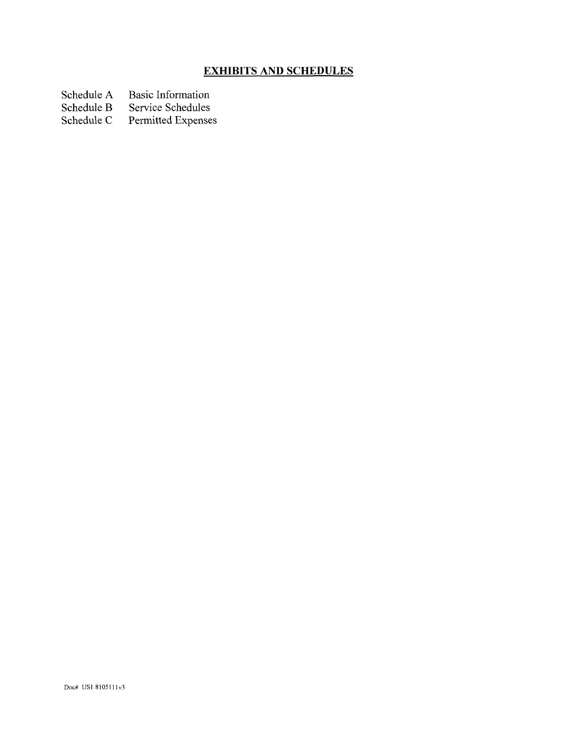# **EXHIBITS AND SCHEDULES**

Schedule A Basic Information<br>Schedule B Service Schedules

Schedule B Service Schedules<br>Schedule C Permitted Expense

Permitted Expenses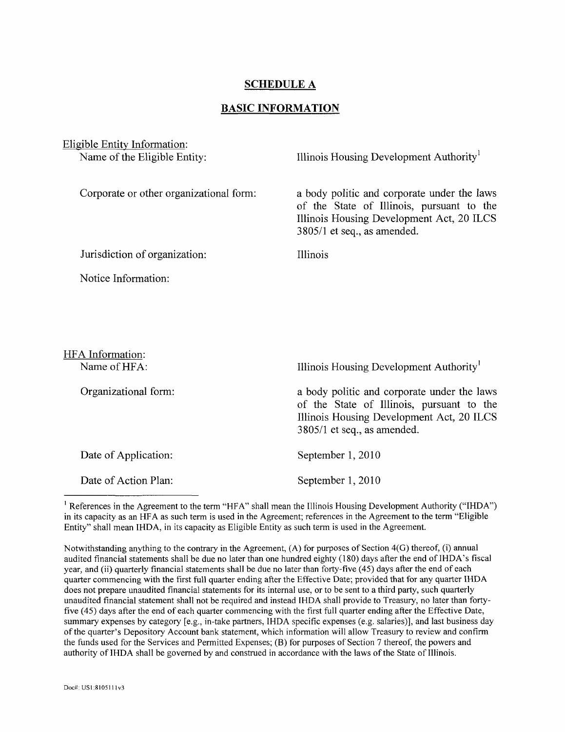#### **SCHEDULE A**

#### **BASIC INFORMATION**

Eligible Entity Information:

Name of the Eligible Entity: Illinois Housing Development Authority

a body politic and corporate under the laws of the State of Illinois, pursuant to the Illinois Housing Development Act, 20 ILCS

Corporate or other organizational form:

Jurisdiction of organization:

Illinois

3805/1 et seq., as amended.

Notice Information:

| HFA Information:     |                                                                                                                                                                      |
|----------------------|----------------------------------------------------------------------------------------------------------------------------------------------------------------------|
| Name of HFA:         | Illinois Housing Development Authority <sup>1</sup>                                                                                                                  |
| Organizational form: | a body politic and corporate under the laws<br>of the State of Illinois, pursuant to the<br>Illinois Housing Development Act, 20 ILCS<br>3805/1 et seq., as amended. |
| Date of Application: | September 1, 2010                                                                                                                                                    |
| Date of Action Plan: | September 1, 2010                                                                                                                                                    |

<sup>1</sup> References in the Agreement to the term "HFA" shall mean the Illinois Housing Development Authority ("IHDA") in its capacity as an HFA as such term is used in the Agreement; references in the Agreement to the term "Eligible Entity" shall mean IHDA, in its capacity as Eligible Entity as such term is used in the Agreement.

Notwithstanding anything to the contrary in the Agreement, (A) for purposes of Section 4(G) thereof, (i) annual audited financial statements shall be due no later than one hundred eighty (180) days after the end of IHDA's fiscal year, and (ii) quarterly financial statements shall be due no later than forty-five (45) days after the end of each quarter commencing with the first full quarter ending after the Effective Date; provided that for any quarter IHDA does not prepare unaudited financial statements for its internal use, or to be sent to a third party, such quarterly unaudited financial statement shall not be required and instead IHDA shall provide to Treasury, no later than fortyfive (45) days after the end of each quarter commencing with the first full quarter ending after the Effective Date, summary expenses by category [e.g., in-take partners, IHDA specific expenses (e.g. salaries)], and last business day of the quarter's Depository Account bank statement, which information will allow Treasury to review and confirm the funds used for the Services and Permitted Expenses; (B) for purposes of Section 7 thereof, the powers and authority of IHDA shall be governed by and construed in accordance with the laws of the State of Illinois.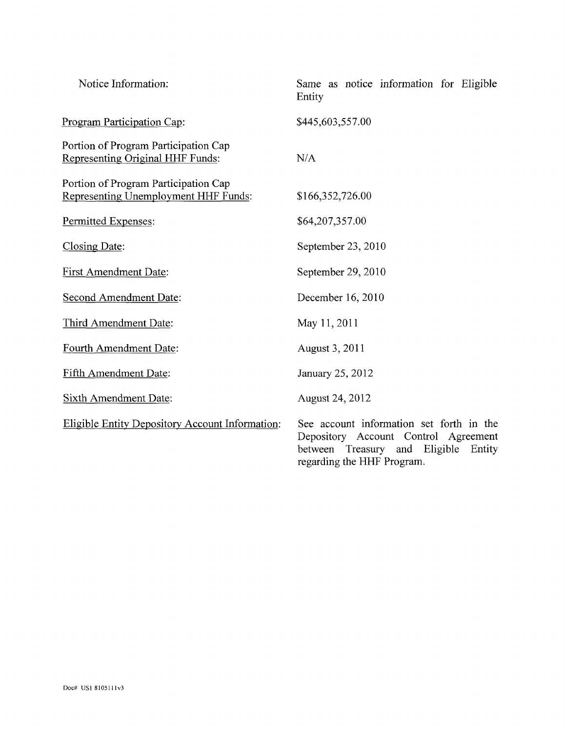| Notice Information:                                                          | Same as notice information for Eligible<br>Entity                                                                                                            |
|------------------------------------------------------------------------------|--------------------------------------------------------------------------------------------------------------------------------------------------------------|
| Program Participation Cap:                                                   | \$445,603,557.00                                                                                                                                             |
| Portion of Program Participation Cap<br>Representing Original HHF Funds:     | N/A                                                                                                                                                          |
| Portion of Program Participation Cap<br>Representing Unemployment HHF Funds: | \$166,352,726.00                                                                                                                                             |
| Permitted Expenses:                                                          | \$64,207,357.00                                                                                                                                              |
| Closing Date:                                                                | September 23, 2010                                                                                                                                           |
| <b>First Amendment Date:</b>                                                 | September 29, 2010                                                                                                                                           |
| <b>Second Amendment Date:</b>                                                | December 16, 2010                                                                                                                                            |
| Third Amendment Date:                                                        | May 11, 2011                                                                                                                                                 |
| Fourth Amendment Date:                                                       | August 3, 2011                                                                                                                                               |
| Fifth Amendment Date:                                                        | January 25, 2012                                                                                                                                             |
| <b>Sixth Amendment Date:</b>                                                 | August 24, 2012                                                                                                                                              |
| <b>Eligible Entity Depository Account Information:</b>                       | See account information set forth in the<br>Depository Account Control Agreement<br>between<br>Treasury and Eligible<br>Entity<br>regarding the HHF Program. |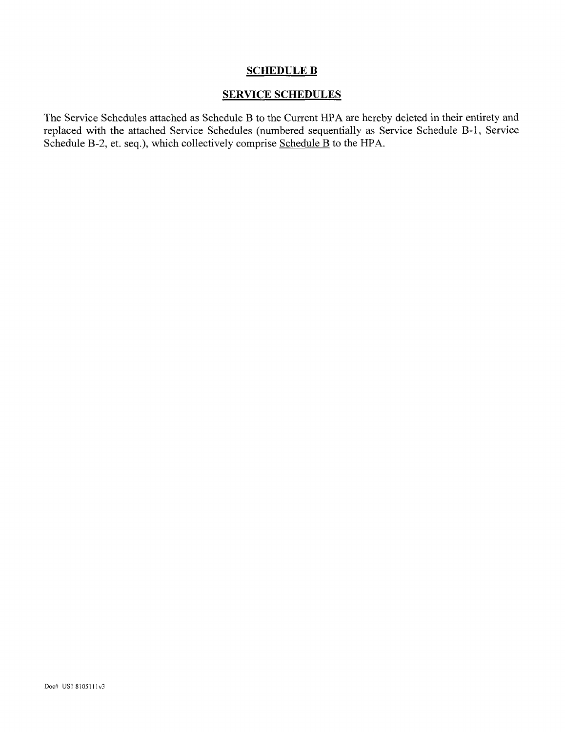## SCHEDULE B

## SERVICE SCHEDULES

The Service Schedules attached as Schedule B to the Current HPA are hereby deleted in their entirety and replaced with the attached Service Schedules (numbered sequentially as Service Schedule B-l, Service Schedule B-2, et. seq.), which collectively comprise Schedule B to the HPA.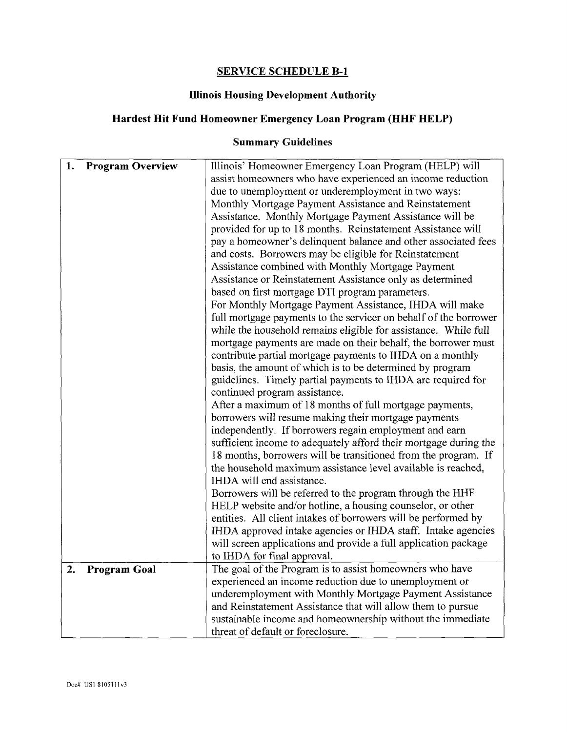# **SERVICE SCHEDULE B-l**

# **Illinois Housing Development Authority**

# **Hardest Hit Fund Homeowner Emergency Loan Program (HHF HELP)**

# **Summary Guidelines**

| 1. | <b>Program Overview</b> | Illinois' Homeowner Emergency Loan Program (HELP) will           |
|----|-------------------------|------------------------------------------------------------------|
|    |                         | assist homeowners who have experienced an income reduction       |
|    |                         | due to unemployment or underemployment in two ways:              |
|    |                         | Monthly Mortgage Payment Assistance and Reinstatement            |
|    |                         | Assistance. Monthly Mortgage Payment Assistance will be          |
|    |                         | provided for up to 18 months. Reinstatement Assistance will      |
|    |                         | pay a homeowner's delinquent balance and other associated fees   |
|    |                         | and costs. Borrowers may be eligible for Reinstatement           |
|    |                         | Assistance combined with Monthly Mortgage Payment                |
|    |                         | Assistance or Reinstatement Assistance only as determined        |
|    |                         | based on first mortgage DTI program parameters.                  |
|    |                         | For Monthly Mortgage Payment Assistance, IHDA will make          |
|    |                         | full mortgage payments to the servicer on behalf of the borrower |
|    |                         | while the household remains eligible for assistance. While full  |
|    |                         | mortgage payments are made on their behalf, the borrower must    |
|    |                         | contribute partial mortgage payments to IHDA on a monthly        |
|    |                         | basis, the amount of which is to be determined by program        |
|    |                         | guidelines. Timely partial payments to IHDA are required for     |
|    |                         | continued program assistance.                                    |
|    |                         | After a maximum of 18 months of full mortgage payments,          |
|    |                         | borrowers will resume making their mortgage payments             |
|    |                         | independently. If borrowers regain employment and earn           |
|    |                         | sufficient income to adequately afford their mortgage during the |
|    |                         | 18 months, borrowers will be transitioned from the program. If   |
|    |                         | the household maximum assistance level available is reached,     |
|    |                         | IHDA will end assistance.                                        |
|    |                         | Borrowers will be referred to the program through the HHF        |
|    |                         | HELP website and/or hotline, a housing counselor, or other       |
|    |                         | entities. All client intakes of borrowers will be performed by   |
|    |                         | IHDA approved intake agencies or IHDA staff. Intake agencies     |
|    |                         | will screen applications and provide a full application package  |
|    |                         | to IHDA for final approval.                                      |
| 2. | Program Goal            | The goal of the Program is to assist homeowners who have         |
|    |                         | experienced an income reduction due to unemployment or           |
|    |                         | underemployment with Monthly Mortgage Payment Assistance         |
|    |                         | and Reinstatement Assistance that will allow them to pursue      |
|    |                         | sustainable income and homeownership without the immediate       |
|    |                         | threat of default or foreclosure.                                |
|    |                         |                                                                  |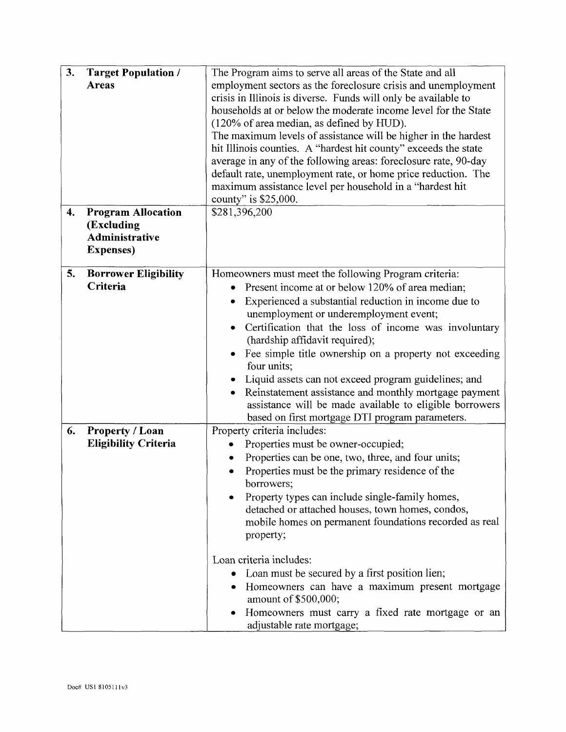| 3.<br>4. | <b>Target Population /</b><br><b>Areas</b><br><b>Program Allocation</b><br>(Excluding<br><b>Administrative</b> | The Program aims to serve all areas of the State and all<br>employment sectors as the foreclosure crisis and unemployment<br>crisis in Illinois is diverse. Funds will only be available to<br>households at or below the moderate income level for the State<br>(120% of area median, as defined by HUD).<br>The maximum levels of assistance will be higher in the hardest<br>hit Illinois counties. A "hardest hit county" exceeds the state<br>average in any of the following areas: foreclosure rate, 90-day<br>default rate, unemployment rate, or home price reduction. The<br>maximum assistance level per household in a "hardest hit<br>county" is \$25,000.<br>\$281,396,200 |  |
|----------|----------------------------------------------------------------------------------------------------------------|------------------------------------------------------------------------------------------------------------------------------------------------------------------------------------------------------------------------------------------------------------------------------------------------------------------------------------------------------------------------------------------------------------------------------------------------------------------------------------------------------------------------------------------------------------------------------------------------------------------------------------------------------------------------------------------|--|
|          | <b>Expenses</b> )                                                                                              |                                                                                                                                                                                                                                                                                                                                                                                                                                                                                                                                                                                                                                                                                          |  |
| 5.       | <b>Borrower Eligibility</b><br>Criteria                                                                        | Homeowners must meet the following Program criteria:<br>Present income at or below 120% of area median;<br>Experienced a substantial reduction in income due to<br>unemployment or underemployment event;<br>Certification that the loss of income was involuntary<br>(hardship affidavit required);<br>Fee simple title ownership on a property not exceeding<br>four units;<br>Liquid assets can not exceed program guidelines; and<br>Reinstatement assistance and monthly mortgage payment<br>assistance will be made available to eligible borrowers<br>based on first mortgage DTI program parameters.                                                                             |  |
| 6.       | <b>Property / Loan</b><br><b>Eligibility Criteria</b>                                                          | Property criteria includes:<br>Properties must be owner-occupied;<br>Properties can be one, two, three, and four units;<br>Properties must be the primary residence of the<br>borrowers;<br>Property types can include single-family homes,<br>detached or attached houses, town homes, condos,<br>mobile homes on permanent foundations recorded as real<br>property;<br>Loan criteria includes:<br>Loan must be secured by a first position lien;<br>Homeowners can have a maximum present mortgage<br>amount of \$500,000;<br>Homeowners must carry a fixed rate mortgage or an<br>adjustable rate mortgage;                                                                          |  |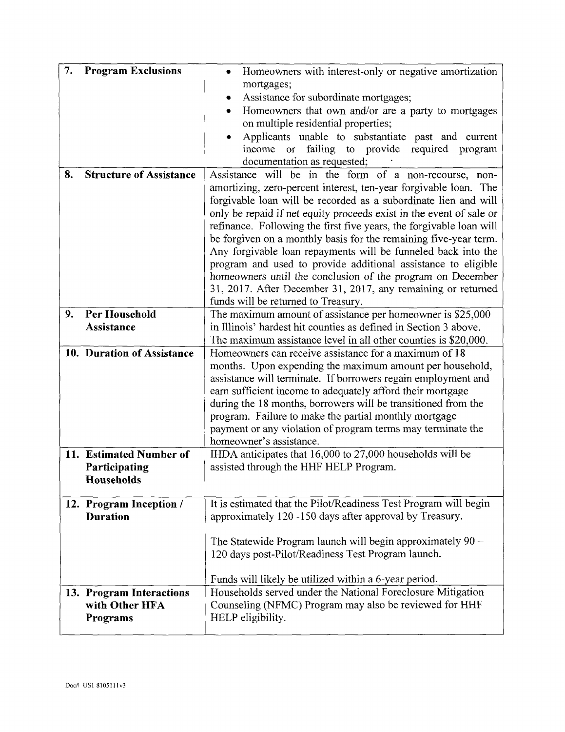| 7. | <b>Program Exclusions</b>      | Homeowners with interest-only or negative amortization<br>$\bullet$                                                                 |  |
|----|--------------------------------|-------------------------------------------------------------------------------------------------------------------------------------|--|
|    |                                | mortgages;                                                                                                                          |  |
|    |                                | Assistance for subordinate mortgages;                                                                                               |  |
|    |                                | Homeowners that own and/or are a party to mortgages<br>٠                                                                            |  |
|    |                                | on multiple residential properties;                                                                                                 |  |
|    |                                | Applicants unable to substantiate past and current                                                                                  |  |
|    |                                | or failing to provide required program<br>income                                                                                    |  |
|    |                                | documentation as requested;                                                                                                         |  |
| 8. | <b>Structure of Assistance</b> | Assistance will be in the form of a non-recourse, non-                                                                              |  |
|    |                                | amortizing, zero-percent interest, ten-year forgivable loan. The<br>forgivable loan will be recorded as a subordinate lien and will |  |
|    |                                | only be repaid if net equity proceeds exist in the event of sale or                                                                 |  |
|    |                                | refinance. Following the first five years, the forgivable loan will                                                                 |  |
|    |                                | be forgiven on a monthly basis for the remaining five-year term.                                                                    |  |
|    |                                | Any forgivable loan repayments will be funneled back into the                                                                       |  |
|    |                                | program and used to provide additional assistance to eligible                                                                       |  |
|    |                                | homeowners until the conclusion of the program on December                                                                          |  |
|    |                                | 31, 2017. After December 31, 2017, any remaining or returned                                                                        |  |
|    |                                | funds will be returned to Treasury.                                                                                                 |  |
| 9. | Per Household                  | The maximum amount of assistance per homeowner is \$25,000                                                                          |  |
|    | Assistance                     | in Illinois' hardest hit counties as defined in Section 3 above.                                                                    |  |
|    |                                | The maximum assistance level in all other counties is \$20,000.                                                                     |  |
|    | 10. Duration of Assistance     | Homeowners can receive assistance for a maximum of 18                                                                               |  |
|    |                                | months. Upon expending the maximum amount per household,                                                                            |  |
|    |                                | assistance will terminate. If borrowers regain employment and                                                                       |  |
|    |                                | earn sufficient income to adequately afford their mortgage                                                                          |  |
|    |                                | during the 18 months, borrowers will be transitioned from the                                                                       |  |
|    |                                | program. Failure to make the partial monthly mortgage                                                                               |  |
|    |                                | payment or any violation of program terms may terminate the                                                                         |  |
|    |                                | homeowner's assistance.                                                                                                             |  |
|    | 11. Estimated Number of        | IHDA anticipates that 16,000 to 27,000 households will be                                                                           |  |
|    | Participating                  | assisted through the HHF HELP Program.                                                                                              |  |
|    | Households                     |                                                                                                                                     |  |
|    | 12. Program Inception /        | It is estimated that the Pilot/Readiness Test Program will begin                                                                    |  |
|    | <b>Duration</b>                | approximately 120 -150 days after approval by Treasury.                                                                             |  |
|    |                                |                                                                                                                                     |  |
|    |                                | The Statewide Program launch will begin approximately $90 -$                                                                        |  |
|    |                                | 120 days post-Pilot/Readiness Test Program launch.                                                                                  |  |
|    |                                |                                                                                                                                     |  |
|    |                                | Funds will likely be utilized within a 6-year period.                                                                               |  |
|    | 13. Program Interactions       | Households served under the National Foreclosure Mitigation                                                                         |  |
|    |                                |                                                                                                                                     |  |
|    |                                |                                                                                                                                     |  |
|    | with Other HFA<br>Programs     | Counseling (NFMC) Program may also be reviewed for HHF<br>HELP eligibility.                                                         |  |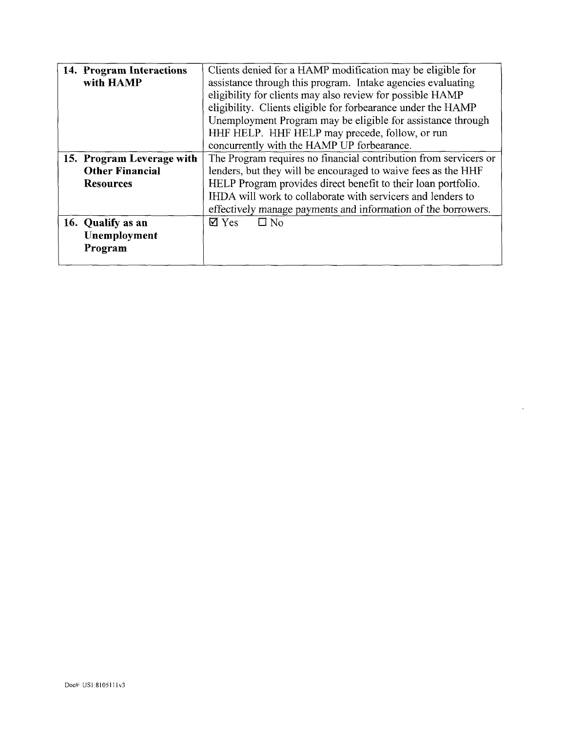| 14. Program Interactions  | Clients denied for a HAMP modification may be eligible for       |  |
|---------------------------|------------------------------------------------------------------|--|
| with HAMP                 | assistance through this program. Intake agencies evaluating      |  |
|                           | eligibility for clients may also review for possible HAMP        |  |
|                           | eligibility. Clients eligible for forbearance under the HAMP     |  |
|                           | Unemployment Program may be eligible for assistance through      |  |
|                           | HHF HELP. HHF HELP may precede, follow, or run                   |  |
|                           | concurrently with the HAMP UP forbearance.                       |  |
| 15. Program Leverage with | The Program requires no financial contribution from servicers or |  |
| <b>Other Financial</b>    | lenders, but they will be encouraged to waive fees as the HHF    |  |
| <b>Resources</b>          | HELP Program provides direct benefit to their loan portfolio.    |  |
|                           | IHDA will work to collaborate with servicers and lenders to      |  |
|                           | effectively manage payments and information of the borrowers.    |  |
| 16. Qualify as an         | $\Box$ No<br>$\boxtimes$ Yes                                     |  |
| Unemployment              |                                                                  |  |
| Program                   |                                                                  |  |
|                           |                                                                  |  |

 $\sim$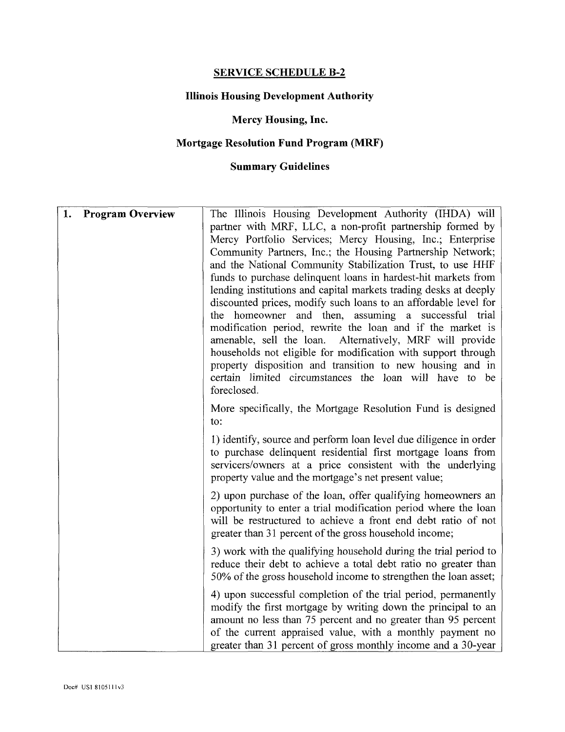## **SERVICE SCHEDULE B-2**

# **Illinois Housing Development Authority**

## **Mercy Housing, Inc.**

# **Mortgage Resolution Fund Program (MRF)**

## **Summary Guidelines**

| 1. | <b>Program Overview</b> | The Illinois Housing Development Authority (IHDA) will<br>partner with MRF, LLC, a non-profit partnership formed by<br>Mercy Portfolio Services, Mercy Housing, Inc.; Enterprise<br>Community Partners, Inc.; the Housing Partnership Network;<br>and the National Community Stabilization Trust, to use HHF<br>funds to purchase delinquent loans in hardest-hit markets from<br>lending institutions and capital markets trading desks at deeply<br>discounted prices, modify such loans to an affordable level for<br>the homeowner and then, assuming a successful<br>trial<br>modification period, rewrite the loan and if the market is<br>amenable, sell the loan. Alternatively, MRF will provide<br>households not eligible for modification with support through<br>property disposition and transition to new housing and in<br>certain limited circumstances the loan will have to be<br>foreclosed. |
|----|-------------------------|------------------------------------------------------------------------------------------------------------------------------------------------------------------------------------------------------------------------------------------------------------------------------------------------------------------------------------------------------------------------------------------------------------------------------------------------------------------------------------------------------------------------------------------------------------------------------------------------------------------------------------------------------------------------------------------------------------------------------------------------------------------------------------------------------------------------------------------------------------------------------------------------------------------|
|    |                         | More specifically, the Mortgage Resolution Fund is designed<br>to:                                                                                                                                                                                                                                                                                                                                                                                                                                                                                                                                                                                                                                                                                                                                                                                                                                               |
|    |                         | 1) identify, source and perform loan level due diligence in order<br>to purchase delinquent residential first mortgage loans from<br>servicers/owners at a price consistent with the underlying<br>property value and the mortgage's net present value;                                                                                                                                                                                                                                                                                                                                                                                                                                                                                                                                                                                                                                                          |
|    |                         | 2) upon purchase of the loan, offer qualifying homeowners an<br>opportunity to enter a trial modification period where the loan<br>will be restructured to achieve a front end debt ratio of not<br>greater than 31 percent of the gross household income;                                                                                                                                                                                                                                                                                                                                                                                                                                                                                                                                                                                                                                                       |
|    |                         | 3) work with the qualifying household during the trial period to<br>reduce their debt to achieve a total debt ratio no greater than<br>50% of the gross household income to strengthen the loan asset;                                                                                                                                                                                                                                                                                                                                                                                                                                                                                                                                                                                                                                                                                                           |
|    |                         | 4) upon successful completion of the trial period, permanently<br>modify the first mortgage by writing down the principal to an<br>amount no less than 75 percent and no greater than 95 percent<br>of the current appraised value, with a monthly payment no<br>greater than 31 percent of gross monthly income and a 30-year                                                                                                                                                                                                                                                                                                                                                                                                                                                                                                                                                                                   |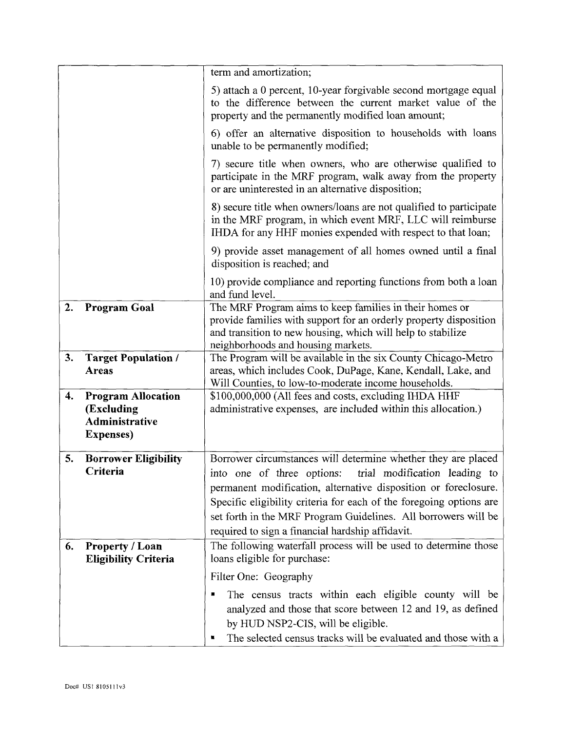|    |                                                                                       | term and amortization;                                                                                                                                                                                                                                                                                                                                                                       |  |
|----|---------------------------------------------------------------------------------------|----------------------------------------------------------------------------------------------------------------------------------------------------------------------------------------------------------------------------------------------------------------------------------------------------------------------------------------------------------------------------------------------|--|
|    |                                                                                       | 5) attach a 0 percent, 10-year forgivable second mortgage equal<br>to the difference between the current market value of the<br>property and the permanently modified loan amount;                                                                                                                                                                                                           |  |
|    |                                                                                       | 6) offer an alternative disposition to households with loans<br>unable to be permanently modified;                                                                                                                                                                                                                                                                                           |  |
|    |                                                                                       | 7) secure title when owners, who are otherwise qualified to<br>participate in the MRF program, walk away from the property<br>or are uninterested in an alternative disposition;                                                                                                                                                                                                             |  |
|    |                                                                                       | 8) secure title when owners/loans are not qualified to participate<br>in the MRF program, in which event MRF, LLC will reimburse<br>IHDA for any HHF monies expended with respect to that loan;                                                                                                                                                                                              |  |
|    |                                                                                       | 9) provide asset management of all homes owned until a final<br>disposition is reached; and                                                                                                                                                                                                                                                                                                  |  |
|    |                                                                                       | 10) provide compliance and reporting functions from both a loan<br>and fund level.                                                                                                                                                                                                                                                                                                           |  |
| 2. | <b>Program Goal</b>                                                                   | The MRF Program aims to keep families in their homes or<br>provide families with support for an orderly property disposition<br>and transition to new housing, which will help to stabilize<br>neighborhoods and housing markets.                                                                                                                                                            |  |
| 3. | <b>Target Population /</b><br><b>Areas</b>                                            | The Program will be available in the six County Chicago-Metro<br>areas, which includes Cook, DuPage, Kane, Kendall, Lake, and<br>Will Counties, to low-to-moderate income households.                                                                                                                                                                                                        |  |
| 4. | <b>Program Allocation</b><br>(Excluding<br><b>Administrative</b><br><b>Expenses</b> ) | \$100,000,000 (All fees and costs, excluding IHDA HHF<br>administrative expenses, are included within this allocation.)                                                                                                                                                                                                                                                                      |  |
| 5. | <b>Borrower Eligibility</b><br>Criteria                                               | Borrower circumstances will determine whether they are placed<br>into one of three options:<br>trial modification leading to<br>permanent modification, alternative disposition or foreclosure.<br>Specific eligibility criteria for each of the foregoing options are<br>set forth in the MRF Program Guidelines. All borrowers will be<br>required to sign a financial hardship affidavit. |  |
| 6. | Property / Loan<br><b>Eligibility Criteria</b>                                        | The following waterfall process will be used to determine those<br>loans eligible for purchase:                                                                                                                                                                                                                                                                                              |  |
|    |                                                                                       | Filter One: Geography                                                                                                                                                                                                                                                                                                                                                                        |  |
|    |                                                                                       | The census tracts within each eligible county will be<br>analyzed and those that score between 12 and 19, as defined<br>by HUD NSP2-CIS, will be eligible.<br>The selected census tracks will be evaluated and those with a                                                                                                                                                                  |  |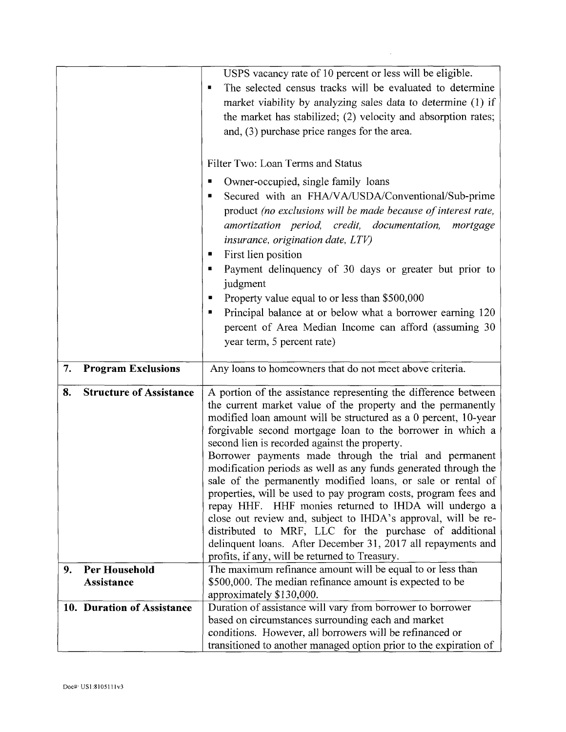|    |                                    | USPS vacancy rate of 10 percent or less will be eligible.<br>The selected census tracks will be evaluated to determine<br>٠<br>market viability by analyzing sales data to determine (1) if<br>the market has stabilized; (2) velocity and absorption rates;<br>and, (3) purchase price ranges for the area.                                                                                                                                                                                                                                                                                                                                                                                                                                                                                                                                                                            |  |
|----|------------------------------------|-----------------------------------------------------------------------------------------------------------------------------------------------------------------------------------------------------------------------------------------------------------------------------------------------------------------------------------------------------------------------------------------------------------------------------------------------------------------------------------------------------------------------------------------------------------------------------------------------------------------------------------------------------------------------------------------------------------------------------------------------------------------------------------------------------------------------------------------------------------------------------------------|--|
|    |                                    | Filter Two: Loan Terms and Status<br>Owner-occupied, single family loans                                                                                                                                                                                                                                                                                                                                                                                                                                                                                                                                                                                                                                                                                                                                                                                                                |  |
|    |                                    | Secured with an FHA/VA/USDA/Conventional/Sub-prime<br>■<br>product (no exclusions will be made because of interest rate,<br>amortization period, credit, documentation,<br>mortgage<br><i>insurance, origination date, LTV)</i>                                                                                                                                                                                                                                                                                                                                                                                                                                                                                                                                                                                                                                                         |  |
|    |                                    | First lien position<br>Payment delinquency of 30 days or greater but prior to<br>judgment<br>Property value equal to or less than \$500,000<br>Principal balance at or below what a borrower earning 120                                                                                                                                                                                                                                                                                                                                                                                                                                                                                                                                                                                                                                                                                |  |
|    |                                    | percent of Area Median Income can afford (assuming 30<br>year term, 5 percent rate)                                                                                                                                                                                                                                                                                                                                                                                                                                                                                                                                                                                                                                                                                                                                                                                                     |  |
| 7. | <b>Program Exclusions</b>          | Any loans to homeowners that do not meet above criteria.                                                                                                                                                                                                                                                                                                                                                                                                                                                                                                                                                                                                                                                                                                                                                                                                                                |  |
| 8. | <b>Structure of Assistance</b>     | A portion of the assistance representing the difference between<br>the current market value of the property and the permanently<br>modified loan amount will be structured as a 0 percent, 10-year<br>forgivable second mortgage loan to the borrower in which a<br>second lien is recorded against the property.<br>Borrower payments made through the trial and permanent<br>modification periods as well as any funds generated through the<br>sale of the permanently modified loans, or sale or rental of<br>properties, will be used to pay program costs, program fees and<br>repay HHF. HHF monies returned to IHDA will undergo a<br>close out review and, subject to IHDA's approval, will be re-<br>distributed to MRF, LLC for the purchase of additional<br>delinquent loans. After December 31, 2017 all repayments and<br>profits, if any, will be returned to Treasury. |  |
| 9. | Per Household<br><b>Assistance</b> | The maximum refinance amount will be equal to or less than<br>\$500,000. The median refinance amount is expected to be                                                                                                                                                                                                                                                                                                                                                                                                                                                                                                                                                                                                                                                                                                                                                                  |  |
|    |                                    | approximately \$130,000.                                                                                                                                                                                                                                                                                                                                                                                                                                                                                                                                                                                                                                                                                                                                                                                                                                                                |  |
|    | 10. Duration of Assistance         | Duration of assistance will vary from borrower to borrower<br>based on circumstances surrounding each and market<br>conditions. However, all borrowers will be refinanced or<br>transitioned to another managed option prior to the expiration of                                                                                                                                                                                                                                                                                                                                                                                                                                                                                                                                                                                                                                       |  |

 $\mathcal{L}_{\text{max}}$  and  $\mathcal{L}_{\text{max}}$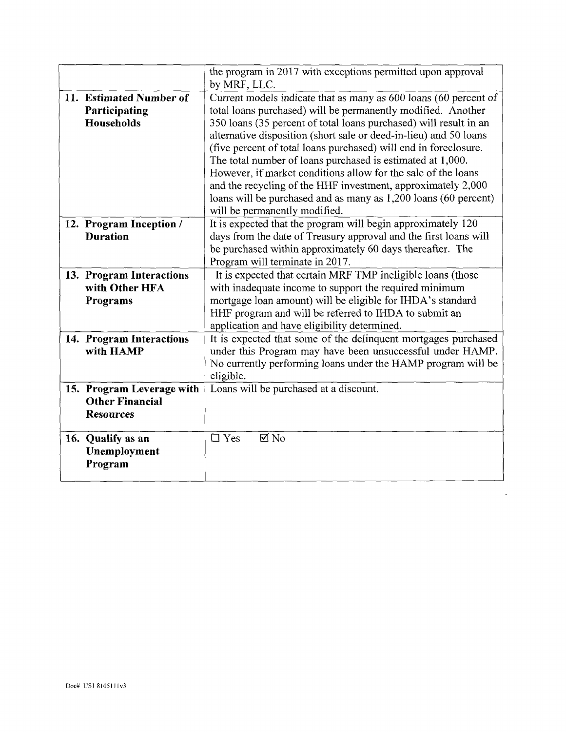|                           | the program in 2017 with exceptions permitted upon approval       |  |
|---------------------------|-------------------------------------------------------------------|--|
|                           | by MRF, LLC.                                                      |  |
| 11. Estimated Number of   | Current models indicate that as many as 600 loans (60 percent of  |  |
| Participating             | total loans purchased) will be permanently modified. Another      |  |
| Households                | 350 loans (35 percent of total loans purchased) will result in an |  |
|                           | alternative disposition (short sale or deed-in-lieu) and 50 loans |  |
|                           | (five percent of total loans purchased) will end in foreclosure.  |  |
|                           | The total number of loans purchased is estimated at 1,000.        |  |
|                           | However, if market conditions allow for the sale of the loans     |  |
|                           | and the recycling of the HHF investment, approximately 2,000      |  |
|                           | loans will be purchased and as many as 1,200 loans (60 percent)   |  |
|                           | will be permanently modified.                                     |  |
| 12. Program Inception /   | It is expected that the program will begin approximately 120      |  |
| <b>Duration</b>           | days from the date of Treasury approval and the first loans will  |  |
|                           | be purchased within approximately 60 days thereafter. The         |  |
|                           | Program will terminate in 2017.                                   |  |
| 13. Program Interactions  | It is expected that certain MRF TMP ineligible loans (those       |  |
| with Other HFA            | with inadequate income to support the required minimum            |  |
| Programs                  | mortgage loan amount) will be eligible for IHDA's standard        |  |
|                           | HHF program and will be referred to IHDA to submit an             |  |
|                           | application and have eligibility determined.                      |  |
| 14. Program Interactions  | It is expected that some of the delinquent mortgages purchased    |  |
| with HAMP                 | under this Program may have been unsuccessful under HAMP.         |  |
|                           | No currently performing loans under the HAMP program will be      |  |
|                           | eligible.                                                         |  |
| 15. Program Leverage with | Loans will be purchased at a discount.                            |  |
| <b>Other Financial</b>    |                                                                   |  |
| <b>Resources</b>          |                                                                   |  |
|                           |                                                                   |  |
| 16. Qualify as an         | $\square$ Yes<br>$\boxtimes$ No                                   |  |
| Unemployment              |                                                                   |  |
| Program                   |                                                                   |  |
|                           |                                                                   |  |

 $\mathcal{L}_{\mathcal{A}}$